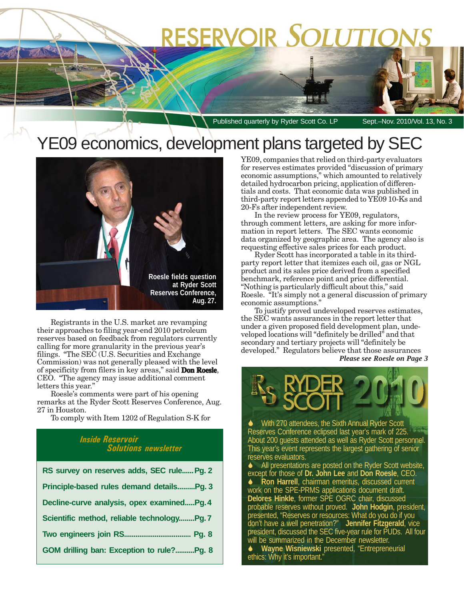# RESERVOIR SOLUTIO

Published quarterly by Ryder Scott Co. LP Sept.-Nov. 2010/Vol. 13, No. 3

## YE09 economics, development plans targeted by SEC



Registrants in the U.S. market are revamping their approaches to filing year-end 2010 petroleum reserves based on feedback from regulators currently calling for more granularity in the previous year's filings. "The SEC (U.S. Securities and Exchange Commission) was not generally pleased with the level of specificity from filers in key areas," said **Don Roesle**, CEO. "The agency may issue additional comment letters this year."

Roesle's comments were part of his opening remarks at the Ryder Scott Reserves Conference, Aug. 27 in Houston.

To comply with Item 1202 of Regulation S-K for

#### *Inside Reservoir Solutions newsletter*

| RS survey on reserves adds, SEC rule Pg. 2 |
|--------------------------------------------|
| Principle-based rules demand detailsPg. 3  |
| Decline-curve analysis, opex examinedPg. 4 |
| Scientific method, reliable technologyPg.7 |
|                                            |
| GOM drilling ban: Exception to rule?Pg. 8  |

YE09, companies that relied on third-party evaluators for reserves estimates provided "discussion of primary economic assumptions," which amounted to relatively detailed hydrocarbon pricing, application of differentials and costs. That economic data was published in third-party report letters appended to YE09 10-Ks and 20-Fs after independent review.

In the review process for YE09, regulators, through comment letters, are asking for more information in report letters. The SEC wants economic data organized by geographic area. The agency also is requesting effective sales prices for each product.

Ryder Scott has incorporated a table in its thirdparty report letter that itemizes each oil, gas or NGL product and its sales price derived from a specified benchmark, reference point and price differential. "Nothing is particularly difficult about this," said Roesle. "It's simply not a general discussion of primary economic assumptions."

To justify proved undeveloped reserves estimates, the SEC wants assurances in the report letter that under a given proposed field development plan, undeveloped locations will "definitely be drilled" and that secondary and tertiary projects will "definitely be developed." Regulators believe that those assurances *Please see Roesle on Page 3*

 With 270 attendees, the Sixth Annual Ryder Scott Reserves Conference eclipsed last year's mark of 225. About 200 guests attended as well as Ryder Scott personnel. This year's event represents the largest gathering of senior reserves evaluators.

 All presentations are posted on the Ryder Scott website, except for those of **Dr. John Lee** and **Don Roesle**, CEO. **◆ Ron Harrell**, chairman emeritus, discussed current work on the SPE-PRMS applications document draft. **Delores Hinkle**, former SPE OGRC chair, discussed probable reserves without proved. **John Hodgin**, president, presented, "Reserves or resources: What do you do if you don't have a well penetration?" **Jennifer Fitzgerald**, vice president, discussed the SEC five-year rule for PUDs. All four will be summarized in the December newsletter. **Wayne Wisniewski** presented, "Entrepreneurial ethics: Why it's important."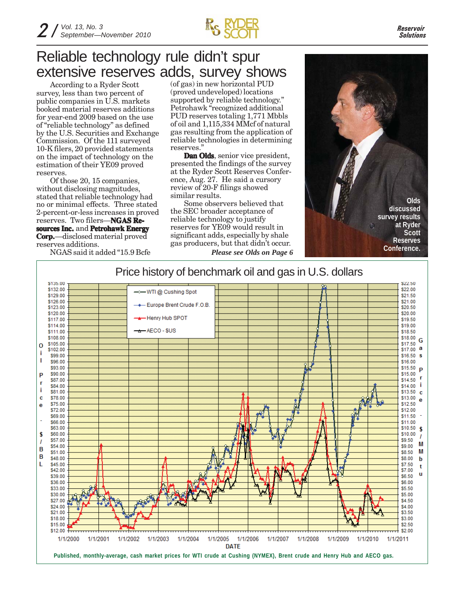

### Reliable technology rule didn't spur extensive reserves adds, survey shows

According to a Ryder Scott survey, less than two percent of public companies in U.S. markets booked material reserves additions for year-end 2009 based on the use of "reliable technology" as defined by the U.S. Securities and Exchange Commission. Of the 111 surveyed 10-K filers, 20 provided statements on the impact of technology on the estimation of their YE09 proved reserves.

Of those 20, 15 companies, without disclosing magnitudes, stated that reliable technology had no or minimal effects. Three stated 2-percent-or-less increases in proved reserves. Two filers—**NGAS Re- Resources Inc. sources**  and **Petrohawk Energy Corp.**—disclosed material proved reserves additions.

NGAS said it added "15.9 Bcfe

(of gas) in new horizontal PUD (proved undeveloped) locations supported by reliable technology." Petrohawk "recognized additional PUD reserves totaling 1,771 Mbbls of oil and 1,115,334 MMcf of natural gas resulting from the application of reliable technologies in determining reserves."

**Dan Olds**, senior vice president, presented the findings of the survey at the Ryder Scott Reserves Conference, Aug. 27. He said a cursory review of 20-F filings showed similar results.

Some observers believed that the SEC broader acceptance of reliable technology to justify reserves for YE09 would result in significant adds, especially by shale gas producers, but that didn't occur. *Please see Olds on Page 6*



### Price history of benchmark oil and gas in U.S. dollars

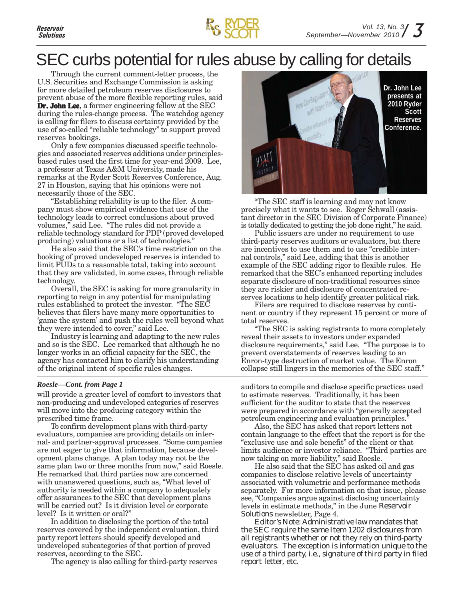

### SEC curbs potential for rules abuse by calling for details

Through the current comment-letter process, the U.S. Securities and Exchange Commission is asking for more detailed petroleum reserves disclosures to prevent abuse of the more flexible reporting rules, said **Dr. John Lee**, a former engineering fellow at the SEC during the rules-change process. The watchdog agency is calling for filers to discuss certainty provided by the use of so-called "reliable technology" to support proved reserves bookings.

Only a few companies discussed specific technologies and associated reserves additions under principlesbased rules used the first time for year-end 2009. Lee, a professor at Texas A&M University, made his remarks at the Ryder Scott Reserves Conference, Aug. 27 in Houston, saying that his opinions were not necessarily those of the SEC.

"Establishing reliability is up to the filer. A company must show empirical evidence that use of the technology leads to correct conclusions about proved volumes," said Lee. "The rules did not provide a reliable technology standard for PDP (proved developed producing) valuations or a list of technologies."

He also said that the SEC's time restriction on the booking of proved undeveloped reserves is intended to limit PUDs to a reasonable total, taking into account that they are validated, in some cases, through reliable technology.

Overall, the SEC is asking for more granularity in reporting to reign in any potential for manipulating rules established to protect the investor. "The SEC believes that filers have many more opportunities to 'game the system' and push the rules well beyond what they were intended to cover," said Lee.

Industry is learning and adapting to the new rules and so is the SEC. Lee remarked that although he no longer works in an official capacity for the SEC, the agency has contacted him to clarify his understanding of the original intent of specific rules changes.

#### *Roesle—Cont. from Page 1*

will provide a greater level of comfort to investors that non-producing and undeveloped categories of reserves will move into the producing category within the prescribed time frame.

To confirm development plans with third-party evaluators, companies are providing details on internal- and partner-approval processes. "Some companies are not eager to give that information, because development plans change. A plan today may not be the same plan two or three months from now," said Roesle. He remarked that third parties now are concerned with unanswered questions, such as, "What level of authority is needed within a company to adequately offer assurances to the SEC that development plans will be carried out? Is it division level or corporate level? Is it written or oral?"

In addition to disclosing the portion of the total reserves covered by the independent evaluation, third party report letters should specify developed and undeveloped subcategories of that portion of proved reserves, according to the SEC.

The agency is also calling for third-party reserves



"The SEC staff is learning and may not know precisely what it wants to see. Roger Schwall (assistant director in the SEC Division of Corporate Finance) is totally dedicated to getting the job done right," he said.

Public issuers are under no requirement to use third-party reserves auditors or evaluators, but there are incentives to use them and to use "credible internal controls," said Lee, adding that this is another example of the SEC adding rigor to flexible rules. He remarked that the SEC's enhanced reporting includes separate disclosure of non-traditional resources since they are riskier and disclosure of concentrated reserves locations to help identify greater political risk.

Filers are required to disclose reserves by continent or country if they represent 15 percent or more of total reserves.

"The SEC is asking registrants to more completely reveal their assets to investors under expanded disclosure requirements," said Lee. "The purpose is to prevent overstatements of reserves leading to an Enron-type destruction of market value. The Enron collapse still lingers in the memories of the SEC staff."

auditors to compile and disclose specific practices used to estimate reserves. Traditionally, it has been sufficient for the auditor to state that the reserves were prepared in accordance with "generally accepted petroleum engineering and evaluation principles."

Also, the SEC has asked that report letters not contain language to the effect that the report is for the "exclusive use and sole benefit" of the client or that limits audience or investor reliance. "Third parties are now taking on more liability," said Roesle.

He also said that the SEC has asked oil and gas companies to disclose relative levels of uncertainty associated with volumetric and performance methods separately. For more information on that issue, please see, "Companies argue against disclosing uncertainty levels in estimate methods," in the June *Reservoir Solutions* newsletter, Page 4.

*Editor's Note: Administrative law mandates that the SEC require the same Item 1202 disclosures from all registrants whether or not they rely on third-party evaluators. The exception is information unique to the use of a third party, i.e., signature of third party in filed report letter, etc.*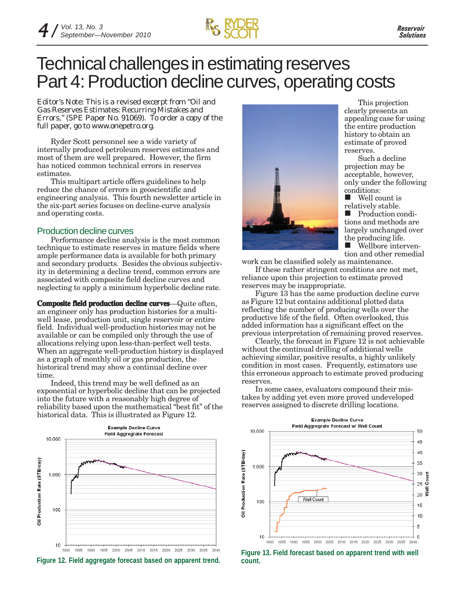

### Technical challenges in estimating reserves Part 4: Production decline curves, operating costs

*Editor's Note: This is a revised excerpt from "Oil and Gas Reserves Estimates: Recurring Mistakes and Errors," (SPE Paper No. 91069). To order a copy of the full paper, go to www.onepetro.org.*

Ryder Scott personnel see a wide variety of internally produced petroleum reserves estimates and most of them are well prepared. However, the firm has noticed common technical errors in reserves estimates.

This multipart article offers guidelines to help reduce the chance of errors in geoscientific and engineering analysis. This fourth newsletter article in the six-part series focuses on decline-curve analysis and operating costs.

#### Production decline curves

Performance decline analysis is the most common technique to estimate reserves in mature fields where ample performance data is available for both primary and secondary products. Besides the obvious subjectivity in determining a decline trend, common errors are associated with composite field decline curves and neglecting to apply a minimum hyperbolic decline rate.

**Composite field production decline curves**—Quite often, an engineer only has production histories for a multiwell lease, production unit, single reservoir or entire field. Individual well-production histories may not be available or can be compiled only through the use of allocations relying upon less-than-perfect well tests. When an aggregate well-production history is displayed as a graph of monthly oil or gas production, the historical trend may show a continual decline over time.

Indeed, this trend may be well defined as an exponential or hyperbolic decline that can be projected into the future with a reasonably high degree of reliability based upon the mathematical "best fit" of the historical data. This is illustrated as Figure 12.







This projection clearly presents an appealing case for using the entire production history to obtain an estimate of proved reserves.

Such a decline projection may be acceptable, however, only under the following conditions:

**Well count is** relatively stable.

**Production condi**tions and methods are largely unchanged over the producing life.<br>■ Wellbore inter Wellbore interven-

tion and other remedial

work can be classified solely as maintenance.

If these rather stringent conditions are not met, reliance upon this projection to estimate proved reserves may be inappropriate.

Figure 13 has the same production decline curve as Figure 12 but contains additional plotted data reflecting the number of producing wells over the productive life of the field. Often overlooked, this added information has a significant effect on the previous interpretation of remaining proved reserves.

Clearly, the forecast in Figure 12 is not achievable without the continual drilling of additional wells achieving similar, positive results, a highly unlikely condition in most cases. Frequently, estimators use this erroneous approach to estimate proved producing reserves.

In some cases, evaluators compound their mistakes by adding yet even more proved undeveloped reserves assigned to discrete drilling locations.



**Figure 13. Field forecast based on apparent trend with well**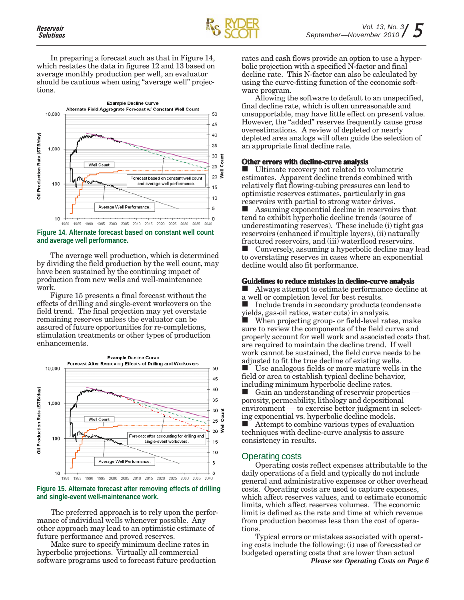

In preparing a forecast such as that in Figure 14, which restates the data in figures 12 and 13 based on average monthly production per well, an evaluator should be cautious when using "average well" projections.



**Figure 14. Alternate forecast based on constant well count and average well performance.**

The average well production, which is determined by dividing the field production by the well count, may have been sustained by the continuing impact of production from new wells and well-maintenance work.

Figure 15 presents a final forecast without the effects of drilling and single-event workovers on the field trend. The final projection may yet overstate remaining reserves unless the evaluator can be assured of future opportunities for re-completions, stimulation treatments or other types of production enhancements.



**Figure 15. Alternate forecast after removing effects of drilling and single-event well-maintenance work.**

The preferred approach is to rely upon the performance of individual wells whenever possible. Any other approach may lead to an optimistic estimate of future performance and proved reserves.

Make sure to specify minimum decline rates in hyperbolic projections. Virtually all commercial software programs used to forecast future production rates and cash flows provide an option to use a hyperbolic projection with a specified N-factor and final decline rate. This N-factor can also be calculated by using the curve-fitting function of the economic software program.

Allowing the software to default to an unspecified, final decline rate, which is often unreasonable and unsupportable, may have little effect on present value. However, the "added" reserves frequently cause gross overestimations. A review of depleted or nearly depleted area analogs will often guide the selection of an appropriate final decline rate.

#### **Other errors with decline-curve analysis**

 Ultimate recovery not related to volumetric estimates. Apparent decline trends combined with relatively flat flowing-tubing pressures can lead to optimistic reserves estimates, particularly in gas reservoirs with partial to strong water drives.

 Assuming exponential decline in reservoirs that tend to exhibit hyperbolic decline trends (source of underestimating reserves). These include (i) tight gas reservoirs (enhanced if multiple layers), (ii) naturally fractured reservoirs, and (iii) waterflood reservoirs.

■ Conversely, assuming a hyperbolic decline may lead to overstating reserves in cases where an exponential decline would also fit performance.

#### **Guidelines to reduce mistakes in decline-curve analysis**

 Always attempt to estimate performance decline at a well or completion level for best results.

 $\blacksquare$  Include trends in secondary products (condensate yields, gas-oil ratios, water cuts) in analysis.

 When projecting group- or field-level rates, make sure to review the components of the field curve and properly account for well work and associated costs that are required to maintain the decline trend. If well work cannot be sustained, the field curve needs to be adjusted to fit the true decline of existing wells.

 Use analogous fields or more mature wells in the field or area to establish typical decline behavior, including minimum hyperbolic decline rates.

 Gain an understanding of reservoir properties porosity, permeability, lithology and depositional environment — to exercise better judgment in selecting exponential vs. hyperbolic decline models. Attempt to combine various types of evaluation techniques with decline-curve analysis to assure consistency in results.

#### Operating costs

Operating costs reflect expenses attributable to the daily operations of a field and typically do not include general and administrative expenses or other overhead costs. Operating costs are used to capture expenses, which affect reserves values, and to estimate economic limits, which affect reserves volumes. The economic limit is defined as the rate and time at which revenue from production becomes less than the cost of operations.

Typical errors or mistakes associated with operating costs include the following: (i) use of forecasted or budgeted operating costs that are lower than actual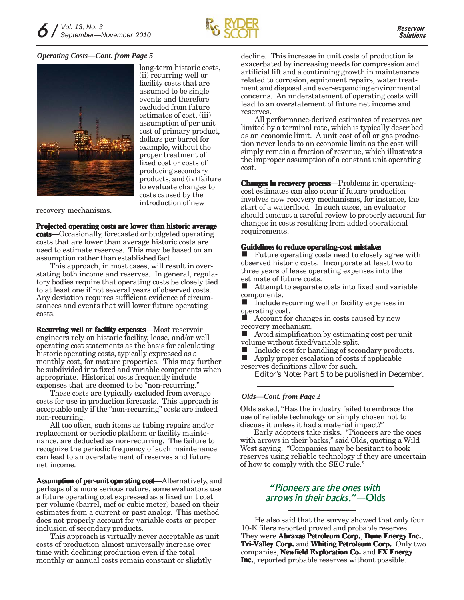

#### *Operating Costs—Cont. from Page 5*



long-term historic costs, (ii) recurring well or facility costs that are assumed to be single events and therefore excluded from future estimates of cost, (iii) assumption of per unit cost of primary product, dollars per barrel for example, without the proper treatment of fixed cost or costs of producing secondary products, and (iv) failure to evaluate changes to costs caused by the introduction of new

recovery mechanisms.

**Projected operating costs are lower than historic average costs**—Occasionally, forecasted or budgeted operating costs that are lower than average historic costs are used to estimate reserves. This may be based on an assumption rather than established fact.

This approach, in most cases, will result in overstating both income and reserves. In general, regulatory bodies require that operating costs be closely tied to at least one if not several years of observed costs. Any deviation requires sufficient evidence of circumstances and events that will lower future operating costs.

**Recurring well or facility expenses**—Most reservoir engineers rely on historic facility, lease, and/or well operating cost statements as the basis for calculating historic operating costs, typically expressed as a monthly cost, for mature properties. This may further be subdivided into fixed and variable components when appropriate. Historical costs frequently include expenses that are deemed to be "non-recurring."

These costs are typically excluded from average costs for use in production forecasts. This approach is acceptable only if the "non-recurring" costs are indeed non-recurring.

All too often, such items as tubing repairs and/or replacement or periodic platform or facility maintenance, are deducted as non-recurring. The failure to recognize the periodic frequency of such maintenance can lead to an overstatement of reserves and future net income.

**Assumption of per-unit operating cost**—Alternatively, and perhaps of a more serious nature, some evaluators use a future operating cost expressed as a fixed unit cost per volume (barrel, mcf or cubic meter) based on their estimates from a current or past analog. This method does not properly account for variable costs or proper inclusion of secondary products.

This approach is virtually never acceptable as unit costs of production almost universally increase over time with declining production even if the total monthly or annual costs remain constant or slightly

decline. This increase in unit costs of production is exacerbated by increasing needs for compression and artificial lift and a continuing growth in maintenance related to corrosion, equipment repairs, water treatment and disposal and ever-expanding environmental concerns. An understatement of operating costs will lead to an overstatement of future net income and reserves.

All performance-derived estimates of reserves are limited by a terminal rate, which is typically described as an economic limit. A unit cost of oil or gas production never leads to an economic limit as the cost will simply remain a fraction of revenue, which illustrates the improper assumption of a constant unit operating cost.

**Changes in recovery process**—Problems in operatingcost estimates can also occur if future production involves new recovery mechanisms, for instance, the start of a waterflood. In such cases, an evaluator should conduct a careful review to properly account for changes in costs resulting from added operational requirements.

#### **Guidelines to reduce operating-cost mistakes**

**Future operating costs need to closely agree with** observed historic costs. Incorporate at least two to three years of lease operating expenses into the estimate of future costs.

 Attempt to separate costs into fixed and variable components.

 Include recurring well or facility expenses in operating cost.

 Account for changes in costs caused by new recovery mechanism.

 Avoid simplification by estimating cost per unit volume without fixed/variable split.

Include cost for handling of secondary products.<br>In Apply proper escalation of costs if applicable

 Apply proper escalation of costs if applicable reserves definitions allow for such.

*Editor's Note: Part 5 to be published in December.*

#### *Olds—Cont. from Page 2*

Olds asked, "Has the industry failed to embrace the use of reliable technology or simply chosen not to discuss it unless it had a material impact?"

Early adopters take risks. "Pioneers are the ones with arrows in their backs," said Olds, quoting a Wild West saying. "Companies may be hesitant to book reserves using reliable technology if they are uncertain of how to comply with the SEC rule."

#### *"Pioneers are the ones with arrows in their backs."*—Olds

He also said that the survey showed that only four 10-K filers reported proved and probable reserves. They were **Abraxas Petroleum Corp., Dune Energy Inc., Tri-Valley Corp. Corp.** and **Whiting Petroleum Corp. Corp.** Only two companies, **Newfield Exploration Co. Exploration Co.** and **FX Energy Inc.**, reported probable reserves without possible.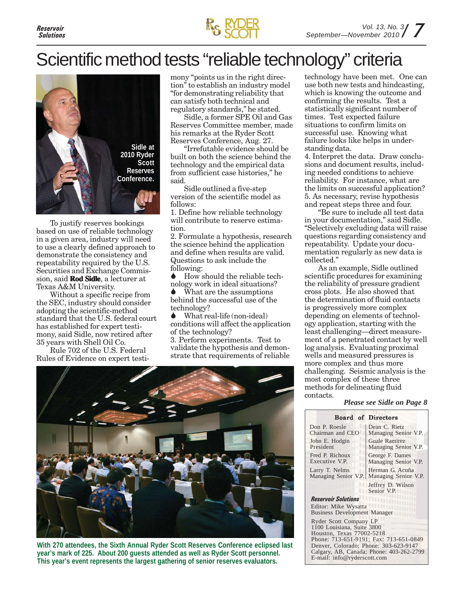

## Scientific method tests "reliable technology" criteria



To justify reserves bookings based on use of reliable technology in a given area, industry will need to use a clearly defined approach to demonstrate the consistency and repeatability required by the U.S. Securities and Exchange Commission, said **Rod Sidle**, a lecturer at Texas A&M University.

Without a specific recipe from the SEC, industry should consider adopting the scientific-method standard that the U.S. federal court has established for expert testimony, said Sidle, now retired after 35 years with Shell Oil Co.

Rule 702 of the U.S. Federal Rules of Evidence on expert testi-

mony "points us in the right direction" to establish an industry model "for demonstrating reliability that can satisfy both technical and regulatory standards," he stated.

Sidle, a former SPE Oil and Gas Reserves Committee member, made his remarks at the Ryder Scott Reserves Conference, Aug. 27.

"Irrefutable evidence should be built on both the science behind the technology and the empirical data from sufficient case histories," he said.

Sidle outlined a five-step version of the scientific model as follows:

1. Define how reliable technology will contribute to reserve estimation.

2. Formulate a hypothesis, research the science behind the application and define when results are valid. Questions to ask include the following:

 How should the reliable technology work in ideal situations?

 What are the assumptions behind the successful use of the technology?

 What real-life (non-ideal) conditions will affect the application of the technology?

3. Perform experiments. Test to validate the hypothesis and demonstrate that requirements of reliable



**With 270 attendees, the Sixth Annual Ryder Scott Reserves Conference eclipsed last year's mark of 225. About 200 guests attended as well as Ryder Scott personnel. This year's event represents the largest gathering of senior reserves evaluators.**

technology have been met. One can use both new tests and hindcasting, which is knowing the outcome and confirming the results. Test a statistically significant number of times. Test expected failure situations to confirm limits on successful use. Knowing what failure looks like helps in understanding data.

4. Interpret the data. Draw conclusions and document results, including needed conditions to achieve reliability. For instance, what are the limits on successful application? 5. As necessary, revise hypothesis and repeat steps three and four.

"Be sure to include all test data in your documentation," said Sidle. "Selectively excluding data will raise questions regarding consistency and repeatability. Update your documentation regularly as new data is collected."

As an example, Sidle outlined scientific procedures for examining the reliability of pressure gradient cross plots. He also showed that the determination of fluid contacts is progressively more complex depending on elements of technology application, starting with the least challenging—direct measurement of a penetrated contact by well log analysis. Evaluating proximal wells and measured pressures is more complex and thus more challenging. Seismic analysis is the most complex of these three methods for delineating fluid contacts.

*Please see Sidle on Page 8*

|                                                                                   | <b>Board of Directors</b>                |
|-----------------------------------------------------------------------------------|------------------------------------------|
| Don P. Roesle<br>Chairman and CEO                                                 | Dean C. Rietz<br>Managing Senior V.P.    |
| John E. Hodgin<br>President                                                       | Guale Ramirez<br>Managing Senior V.P.    |
| Fred P. Richoux<br>Executive V.P.                                                 | George F. Dames<br>Managing Senior V.P.  |
| Larry T. Nelms<br>Managing Senior V.P.                                            | Herman G. Acuña<br>Managing Senior V.P.  |
|                                                                                   | Jeffrey D. Wilson<br>Senior V.P.         |
| <b>Reservoir Solutions</b>                                                        |                                          |
| Editor: Mike Wysatta<br><b>Business Development Manager</b>                       |                                          |
| Ryder Scott Company LP<br>1100 Louisiana, Suite 3800<br>Houston, Texas 77002-5218 |                                          |
|                                                                                   | Phone: 713-651-9191; Fax: 713-651-0849   |
| Denver, Colorado; Phone: 303-623-9147                                             |                                          |
| E-mail: info@ryderscott.com                                                       | Calgary, AB, Canada; Phone: 403-262-2799 |